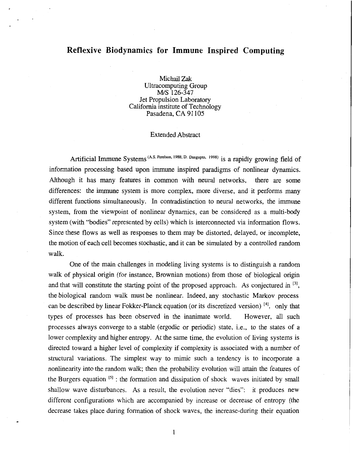## **Reflexive Biodynamics for Immune Inspired Computing**

Michail Zak Ultracomputing Group Jet Propulsion Laboratory California institute of Technology Pasadena, CA 91105 *M/S* **126-347** 

## Extended Abstract

Artificial Immune Systems <sup>(A.S. Perelson, 1988; D. Dasgupto, 1998) is a rapidly growing field of</sup> information processing based upon immune inspired paradigms of nonlinear dynamics. Although it has many features in common with neural networks, there are some differences: the immune system is more complex, more diverse, and it performs many different functions simultaneously. In contradistinction to neural networks, the immune system, from the viewpoint of nonlinear dynamics, can be considered as a multi-body system (with "bodies" represented by cells) which is interconnected via information flows. Since these flows as well as responses to them may be distorted, delayed, or incomplete, the motion of each cell becomes stochastic, and it can be simulated by a controlled random walk.

One of the main challenges in modeling living systems is to distinguish a random walk of physical origin (for instance, Brownian motions) from those of biological origin and that will constitute the starting point of the proposed approach. As conjectured in  $\binom{3}{3}$ , the biological random walk must be nonlinear. Indeed, any stochastic Markov process can be described by linear Fokker-Planck equation (or its discretized version) **[41,** only that types of processes has been observed in the inanimate world. However, all such processes always converge to a stable (ergodic or periodic) state, i.e., to the states of a lower complexity and higher entropy. At the same time, the evolution of living systems is directed toward a higher level of complexity if complexity is associated with a number of structural variations. The simplest way to mimic such a tendency is to incorporate a nonlinearity into the random walk; then the probability evolution will attain the features of the Burgers equation  $[5]$ : the formation and dissipation of shock waves initiated by small shallow wave disturbances. As a result, the evolution never "dies": it produces new different configurations which are accompanied by increase or decrease of entropy (the decrease takes place during formation of shock waves, the increase-during their equation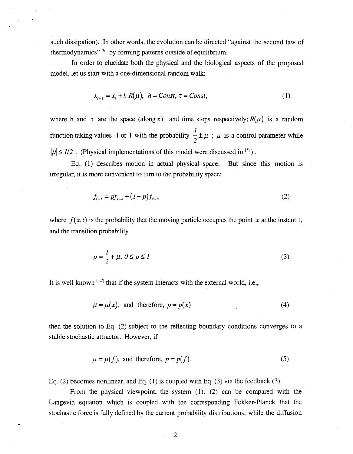such dissipation). In other words, the evolution can be directed "against the second law of thermodynamics" <sup>[6]</sup> by forming patterns outside of equilibrium.

In order to elucidate both the physical and the biological aspects of the proposed model, let us start with a one-dimensional random walk:

$$
x_{t+\tau} = x_t + h R(\mu), \quad h = Const, \quad \tau = Const,
$$
\n(1)

where h and  $\tau$  are the space (along x) and time steps respectively;  $R(\mu)$  is a random function taking values -1 or 1 with the probability  $\frac{1}{2} \pm \mu$ ;  $\mu$  is a control parameter while  $|\mu| \leq 1/2$ . (Physical implementations of this model were discussed in <sup>[3]</sup>). **2** 

Eq. (1) describes motion in actual physical space. But since this motion is irregular, it is more convenient to turn to the probability space:

$$
f_{t+\tau} = pf_{x-h} + (1-p)f_{x+h}
$$
 (2)

where  $f(x,t)$  is the probability that the moving particle occupies the point *x* at the instant t, and the transition probability

$$
p = \frac{1}{2} + \mu, \ 0 \le p \le 1 \tag{3}
$$

It is well known  $[4,7]$  that if the system interacts with the external world, i.e.,

$$
\mu = \mu(x), \text{ and therefore, } p = p(x) \tag{4}
$$

then the solution to Eq. **(2)** subject to the reflecting boundary conditions converges to a stable stochastic attractor. However, if

$$
\mu = \mu(f), \text{ and therefore, } p = p(f), \tag{5}
$$

Eq. (2) becomes nonlinear, and Eq. (1) is coupled with Eq. (3) via the feedback (3).

-

From the physical viewpoint, the system (l), **(2)** can be compared with the Langevin equation which is coupied with the corresponding Fokker-Planck that he stochastic force is fully defined by the current probability distributions, while the diffusion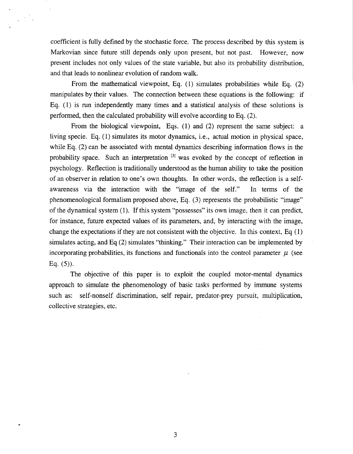coefficient is fully defined by the stochastic force. The process described by this system is Markovian since future still depends only upon present, but not past. However, now present includes not only values of the state variable, but also its probability distribution, and that leads to nonlinear evolution of random walk.

 $\frac{1}{\sqrt{2}}$  ,  $\frac{1}{\sqrt{2}}$ 

From the mathematical viewpoint, Eq. (1) simulates probabilities while Eq. (2) manipulates by their values. The connection between these equations is the following: if Eq. (1) is run independently many times and a statistical analysis of these solutions is performed, then the calculated probability will evolve according to Eq. (2).

From the biological viewpoint, Eqs. (1) and (2) represent the same subject: a living specie. Eq. (1) simulates its motor dynamics, i.e., actual motion in physical space, while Eq. (2) can be associated with mental dynamics describing information flows in the probability space. Such an interpretation **[31** was evoked by the concept of reflection in psychology. Reflection is traditionally understood as the human ability to take the position of an observer in relation to one's own thoughts. In other words, the reflection is a selfawareness via the interaction with the "image of the self." In terms of the phenomenological formalism proposed above, Eq. (3) represents the probabilistic "image" of the dynamical system (1). If this system "possesses" its own image, then it can predict, for instance, future expected values of its parameters, and, by interacting with the image, change the expectations if they are not consistent with the objective. In this context, Eq (1) simulates acting, and Eq **(2)** simulates "thinking." Their interaction can be implemented by incorporating probabilities, its functions and functionals into the control parameter  $\mu$  (see **Eq.** (5)).

The objective of this paper is to exploit the coupled motor-mental dynamics approach to simulate the phenomenology of basic tasks performed by immune systems such as: self-nonself discrimination, self repair, predator-prey pursuit, multiplication, collective strategies, etc.

3